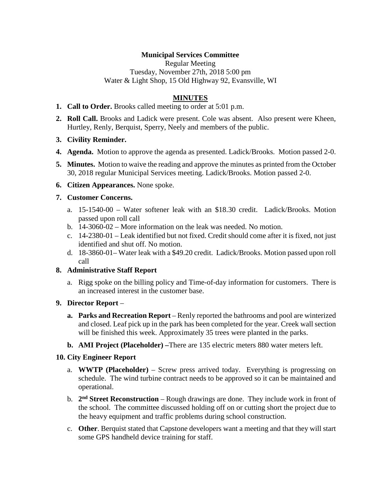# **Municipal Services Committee**

Regular Meeting Tuesday, November 27th, 2018 5:00 pm Water & Light Shop, 15 Old Highway 92, Evansville, WI

## **MINUTES**

- **1. Call to Order.** Brooks called meeting to order at 5:01 p.m.
- **2. Roll Call.** Brooks and Ladick were present. Cole was absent. Also present were Kheen, Hurtley, Renly, Berquist, Sperry, Neely and members of the public.
- **3. Civility Reminder.**
- **4. Agenda.** Motion to approve the agenda as presented. Ladick/Brooks. Motion passed 2-0.
- **5. Minutes.** Motion to waive the reading and approve the minutes as printed from the October 30, 2018 regular Municipal Services meeting. Ladick/Brooks. Motion passed 2-0.
- **6. Citizen Appearances.** None spoke.

#### **7. Customer Concerns.**

- a. 15-1540-00 Water softener leak with an \$18.30 credit. Ladick/Brooks. Motion passed upon roll call
- b. 14-3060-02 More information on the leak was needed. No motion.
- c. 14-2380-01 Leak identified but not fixed. Credit should come after it is fixed, not just identified and shut off. No motion.
- d. 18-3860-01– Water leak with a \$49.20 credit. Ladick/Brooks. Motion passed upon roll call

## **8. Administrative Staff Report**

a. Rigg spoke on the billing policy and Time-of-day information for customers. There is an increased interest in the customer base.

### **9. Director Report** –

- **a. Parks and Recreation Report** Renly reported the bathrooms and pool are winterized and closed. Leaf pick up in the park has been completed for the year. Creek wall section will be finished this week. Approximately 35 trees were planted in the parks.
- **b. AMI Project (Placeholder) –**There are 135 electric meters 880 water meters left.

### **10. City Engineer Report**

- a. **WWTP (Placeholder)** Screw press arrived today. Everything is progressing on schedule. The wind turbine contract needs to be approved so it can be maintained and operational.
- b. **2nd Street Reconstruction** Rough drawings are done. They include work in front of the school. The committee discussed holding off on or cutting short the project due to the heavy equipment and traffic problems during school construction.
- c. **Other**. Berquist stated that Capstone developers want a meeting and that they will start some GPS handheld device training for staff.